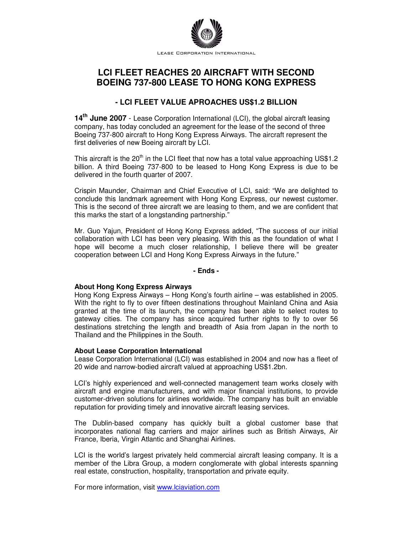

## **LCI FLEET REACHES 20 AIRCRAFT WITH SECOND BOEING 737-800 LEASE TO HONG KONG EXPRESS**

## **- LCI FLEET VALUE APROACHES US\$1.2 BILLION**

**14th June 2007** - Lease Corporation International (LCI), the global aircraft leasing company, has today concluded an agreement for the lease of the second of three Boeing 737-800 aircraft to Hong Kong Express Airways. The aircraft represent the first deliveries of new Boeing aircraft by LCI.

This aircraft is the 20<sup>th</sup> in the LCI fleet that now has a total value approaching US\$1.2 billion. A third Boeing 737-800 to be leased to Hong Kong Express is due to be delivered in the fourth quarter of 2007.

Crispin Maunder, Chairman and Chief Executive of LCI, said: "We are delighted to conclude this landmark agreement with Hong Kong Express, our newest customer. This is the second of three aircraft we are leasing to them, and we are confident that this marks the start of a longstanding partnership."

Mr. Guo Yajun, President of Hong Kong Express added, "The success of our initial collaboration with LCI has been very pleasing. With this as the foundation of what I hope will become a much closer relationship, I believe there will be greater cooperation between LCI and Hong Kong Express Airways in the future."

**- Ends -** 

## **About Hong Kong Express Airways**

Hong Kong Express Airways – Hong Kong's fourth airline – was established in 2005. With the right to fly to over fifteen destinations throughout Mainland China and Asia granted at the time of its launch, the company has been able to select routes to gateway cities. The company has since acquired further rights to fly to over 56 destinations stretching the length and breadth of Asia from Japan in the north to Thailand and the Philippines in the South.

## **About Lease Corporation International**

Lease Corporation International (LCI) was established in 2004 and now has a fleet of 20 wide and narrow-bodied aircraft valued at approaching US\$1.2bn.

LCI's highly experienced and well-connected management team works closely with aircraft and engine manufacturers, and with major financial institutions, to provide customer-driven solutions for airlines worldwide. The company has built an enviable reputation for providing timely and innovative aircraft leasing services.

The Dublin-based company has quickly built a global customer base that incorporates national flag carriers and major airlines such as British Airways, Air France, Iberia, Virgin Atlantic and Shanghai Airlines.

LCI is the world's largest privately held commercial aircraft leasing company. It is a member of the Libra Group, a modern conglomerate with global interests spanning real estate, construction, hospitality, transportation and private equity.

For more information, visit www.lciaviation.com